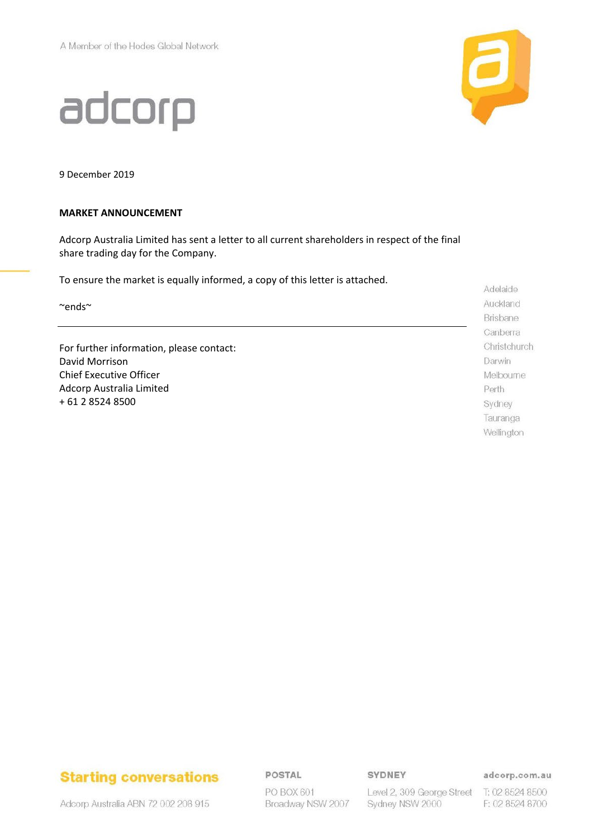adcorp



9 December 2019

### **MARKET ANNOUNCEMENT**

Adcorp Australia Limited has sent a letter to all current shareholders in respect of the final share trading day for the Company.

To ensure the market is equally informed, a copy of this letter is attached.

~ends~

For further information, please contact: David Morrison Chief Executive Officer Adcorp Australia Limited + 61 2 8524 8500

Adelaide Auckland Brisbane Canberra Christchurch Darwin Melbourne Perth Sydney Tauranga Wellington

## **Starting conversations**

POSTAL

PO BOX 601 Broadway NSW 2007 SYDNEY

Sydney NSW 2000

adcorp.com.au

Level 2, 309 George Street T: 02 8524 8500 F: 02 8524 8700

Adcorp Australia ABN 72 002 208 915